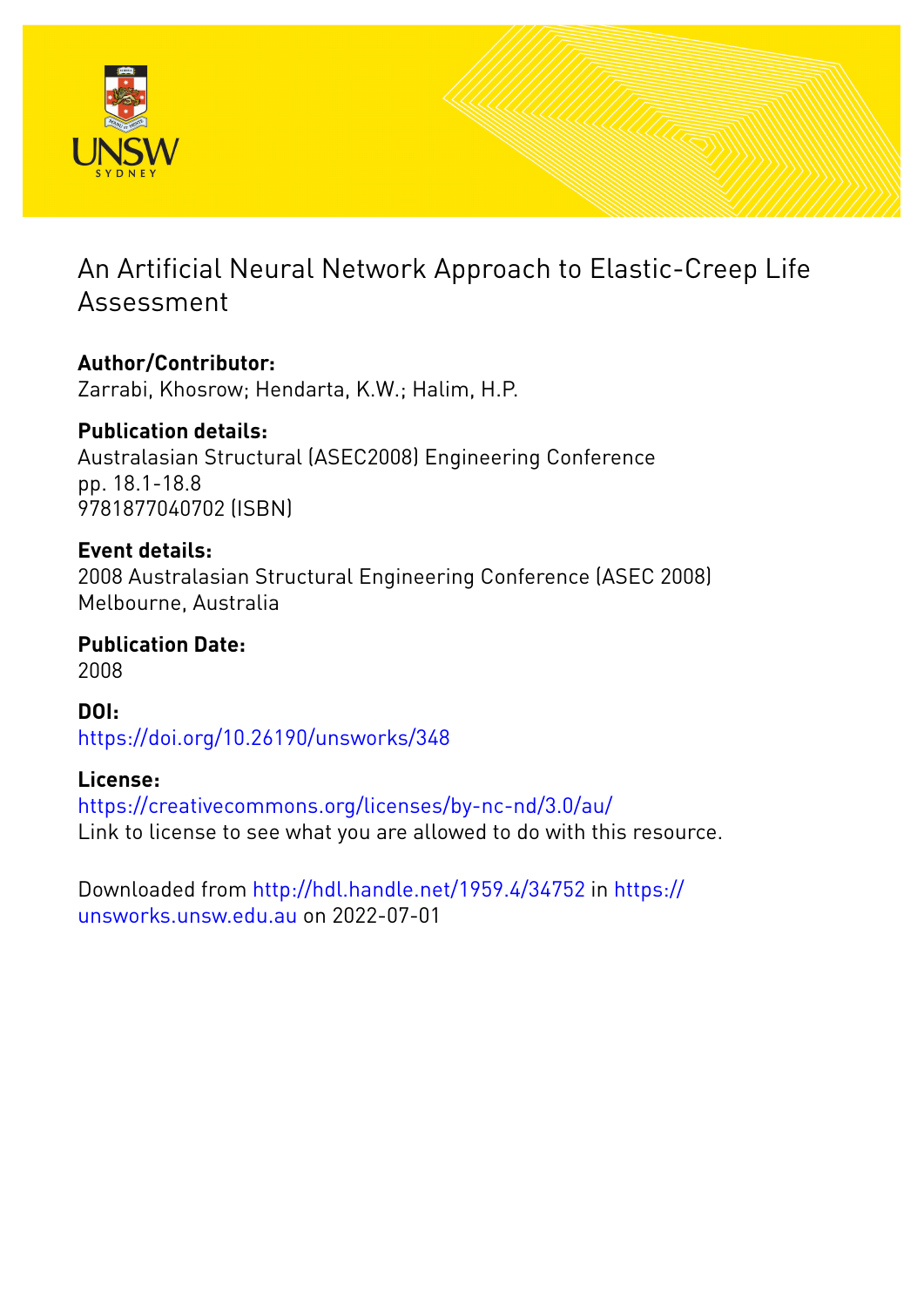

# An Artificial Neural Network Approach to Elastic-Creep Life Assessment

#### **Author/Contributor:** Zarrabi, Khosrow; Hendarta, K.W.; Halim, H.P.

**Publication details:** Australasian Structural (ASEC2008) Engineering Conference pp. 18.1-18.8 9781877040702 (ISBN)

# **Event details:**

2008 Australasian Structural Engineering Conference (ASEC 2008) Melbourne, Australia

**Publication Date:** 2008

**DOI:** [https://doi.org/10.26190/unsworks/348](http://dx.doi.org/https://doi.org/10.26190/unsworks/348)

# **License:**

<https://creativecommons.org/licenses/by-nc-nd/3.0/au/> Link to license to see what you are allowed to do with this resource.

Downloaded from <http://hdl.handle.net/1959.4/34752> in [https://](https://unsworks.unsw.edu.au) [unsworks.unsw.edu.au](https://unsworks.unsw.edu.au) on 2022-07-01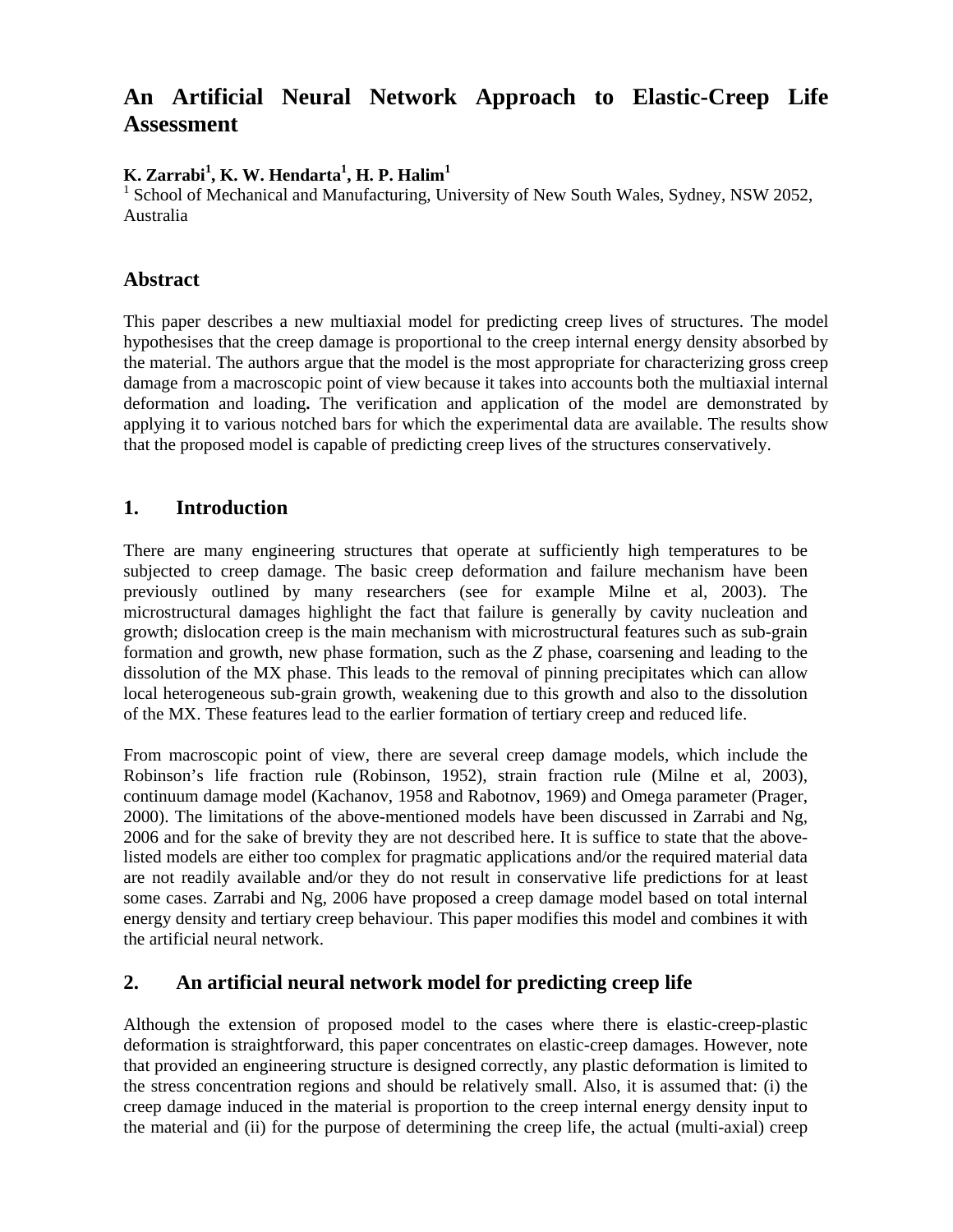# **An Artificial Neural Network Approach to Elastic-Creep Life Assessment**

#### **K. Zarrabi<sup>1</sup> , K. W. Hendarta<sup>1</sup> , H. P. Halim<sup>1</sup>**

<sup>1</sup> School of Mechanical and Manufacturing, University of New South Wales, Sydney, NSW 2052, Australia

#### **Abstract**

This paper describes a new multiaxial model for predicting creep lives of structures. The model hypothesises that the creep damage is proportional to the creep internal energy density absorbed by the material. The authors argue that the model is the most appropriate for characterizing gross creep damage from a macroscopic point of view because it takes into accounts both the multiaxial internal deformation and loading**.** The verification and application of the model are demonstrated by applying it to various notched bars for which the experimental data are available. The results show that the proposed model is capable of predicting creep lives of the structures conservatively.

#### **1. Introduction**

There are many engineering structures that operate at sufficiently high temperatures to be subjected to creep damage. The basic creep deformation and failure mechanism have been previously outlined by many researchers (see for example Milne et al, 2003). The microstructural damages highlight the fact that failure is generally by cavity nucleation and growth; dislocation creep is the main mechanism with microstructural features such as sub-grain formation and growth, new phase formation, such as the *Z* phase, coarsening and leading to the dissolution of the MX phase. This leads to the removal of pinning precipitates which can allow local heterogeneous sub-grain growth, weakening due to this growth and also to the dissolution of the MX. These features lead to the earlier formation of tertiary creep and reduced life.

From macroscopic point of view, there are several creep damage models, which include the Robinson's life fraction rule (Robinson, 1952), strain fraction rule (Milne et al, 2003), continuum damage model (Kachanov, 1958 and Rabotnov, 1969) and Omega parameter (Prager, 2000). The limitations of the above-mentioned models have been discussed in Zarrabi and Ng, 2006 and for the sake of brevity they are not described here. It is suffice to state that the abovelisted models are either too complex for pragmatic applications and/or the required material data are not readily available and/or they do not result in conservative life predictions for at least some cases. Zarrabi and Ng, 2006 have proposed a creep damage model based on total internal energy density and tertiary creep behaviour. This paper modifies this model and combines it with the artificial neural network.

#### **2. An artificial neural network model for predicting creep life**

Although the extension of proposed model to the cases where there is elastic-creep-plastic deformation is straightforward, this paper concentrates on elastic-creep damages. However, note that provided an engineering structure is designed correctly, any plastic deformation is limited to the stress concentration regions and should be relatively small. Also, it is assumed that: (i) the creep damage induced in the material is proportion to the creep internal energy density input to the material and (ii) for the purpose of determining the creep life, the actual (multi-axial) creep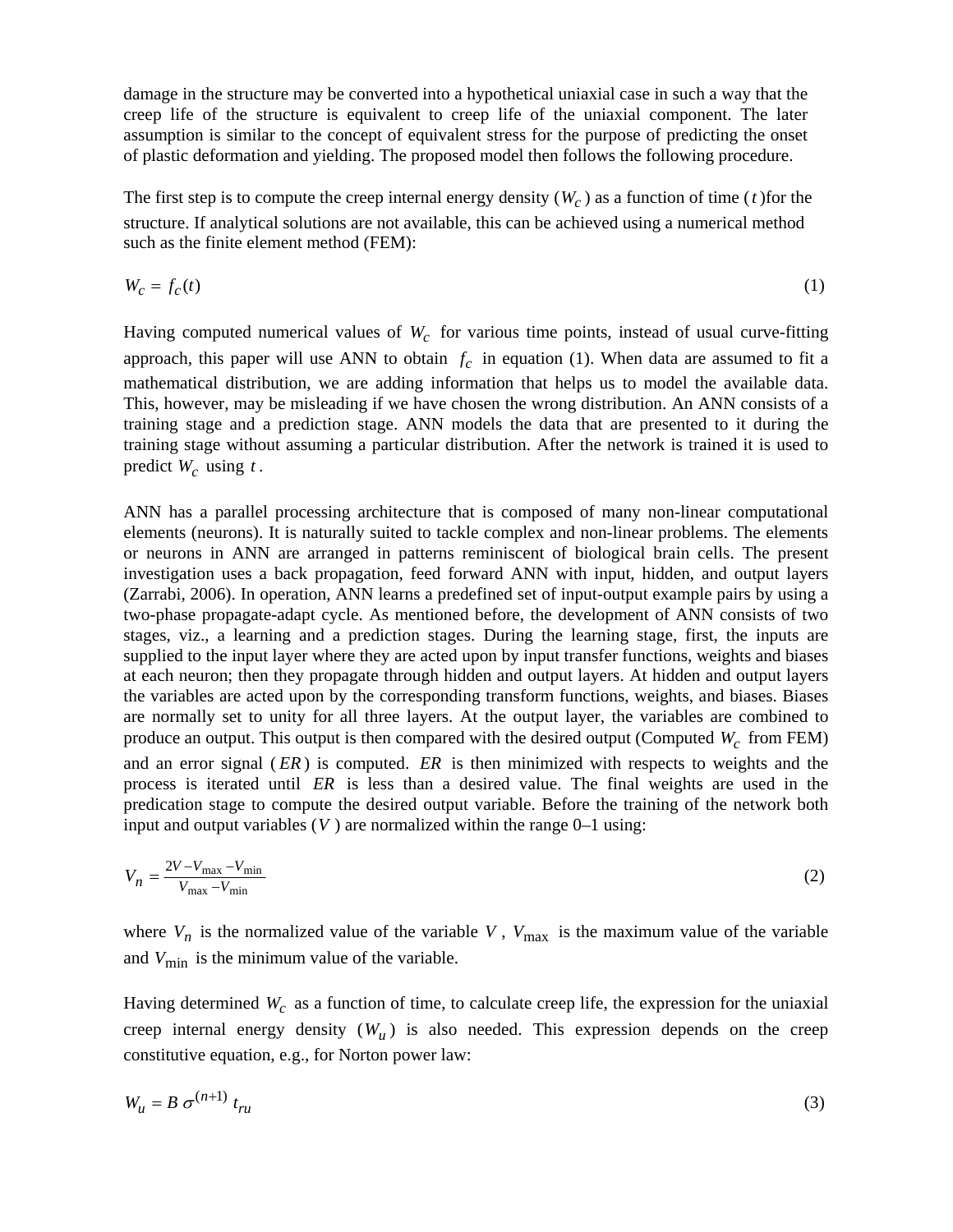damage in the structure may be converted into a hypothetical uniaxial case in such a way that the creep life of the structure is equivalent to creep life of the uniaxial component. The later assumption is similar to the concept of equivalent stress for the purpose of predicting the onset of plastic deformation and yielding. The proposed model then follows the following procedure.

The first step is to compute the creep internal energy density  $(W_c)$  as a function of time (*t*) for the structure. If analytical solutions are not available, this can be achieved using a numerical method such as the finite element method (FEM):

$$
W_c = f_c(t) \tag{1}
$$

Having computed numerical values of  $W_c$  for various time points, instead of usual curve-fitting approach, this paper will use ANN to obtain  $f_c$  in equation (1). When data are assumed to fit a mathematical distribution, we are adding information that helps us to model the available data. This, however, may be misleading if we have chosen the wrong distribution. An ANN consists of a training stage and a prediction stage. ANN models the data that are presented to it during the training stage without assuming a particular distribution. After the network is trained it is used to predict  $W_c$  using  $t$ .

ANN has a parallel processing architecture that is composed of many non-linear computational elements (neurons). It is naturally suited to tackle complex and non-linear problems. The elements or neurons in ANN are arranged in patterns reminiscent of biological brain cells. The present investigation uses a back propagation, feed forward ANN with input, hidden, and output layers (Zarrabi, 2006). In operation, ANN learns a predefined set of input-output example pairs by using a two-phase propagate-adapt cycle. As mentioned before, the development of ANN consists of two stages, viz., a learning and a prediction stages. During the learning stage, first, the inputs are supplied to the input layer where they are acted upon by input transfer functions, weights and biases at each neuron; then they propagate through hidden and output layers. At hidden and output layers the variables are acted upon by the corresponding transform functions, weights, and biases. Biases are normally set to unity for all three layers. At the output layer, the variables are combined to produce an output. This output is then compared with the desired output (Computed  $W_c$  from FEM) and an error signal (*ER*) is computed. *ER* is then minimized with respects to weights and the process is iterated until *ER* is less than a desired value. The final weights are used in the predication stage to compute the desired output variable. Before the training of the network both input and output variables  $(V)$  are normalized within the range  $0-1$  using:

$$
V_n = \frac{2V - V_{\text{max}} - V_{\text{min}}}{V_{\text{max}} - V_{\text{min}}}
$$
(2)

where  $V_n$  is the normalized value of the variable *V*,  $V_{\text{max}}$  is the maximum value of the variable and  $V_{\text{min}}$  is the minimum value of the variable.

Having determined  $W_c$  as a function of time, to calculate creep life, the expression for the uniaxial creep internal energy density  $(W_u)$  is also needed. This expression depends on the creep constitutive equation, e.g., for Norton power law:

$$
W_u = B \sigma^{(n+1)} t_{ru}
$$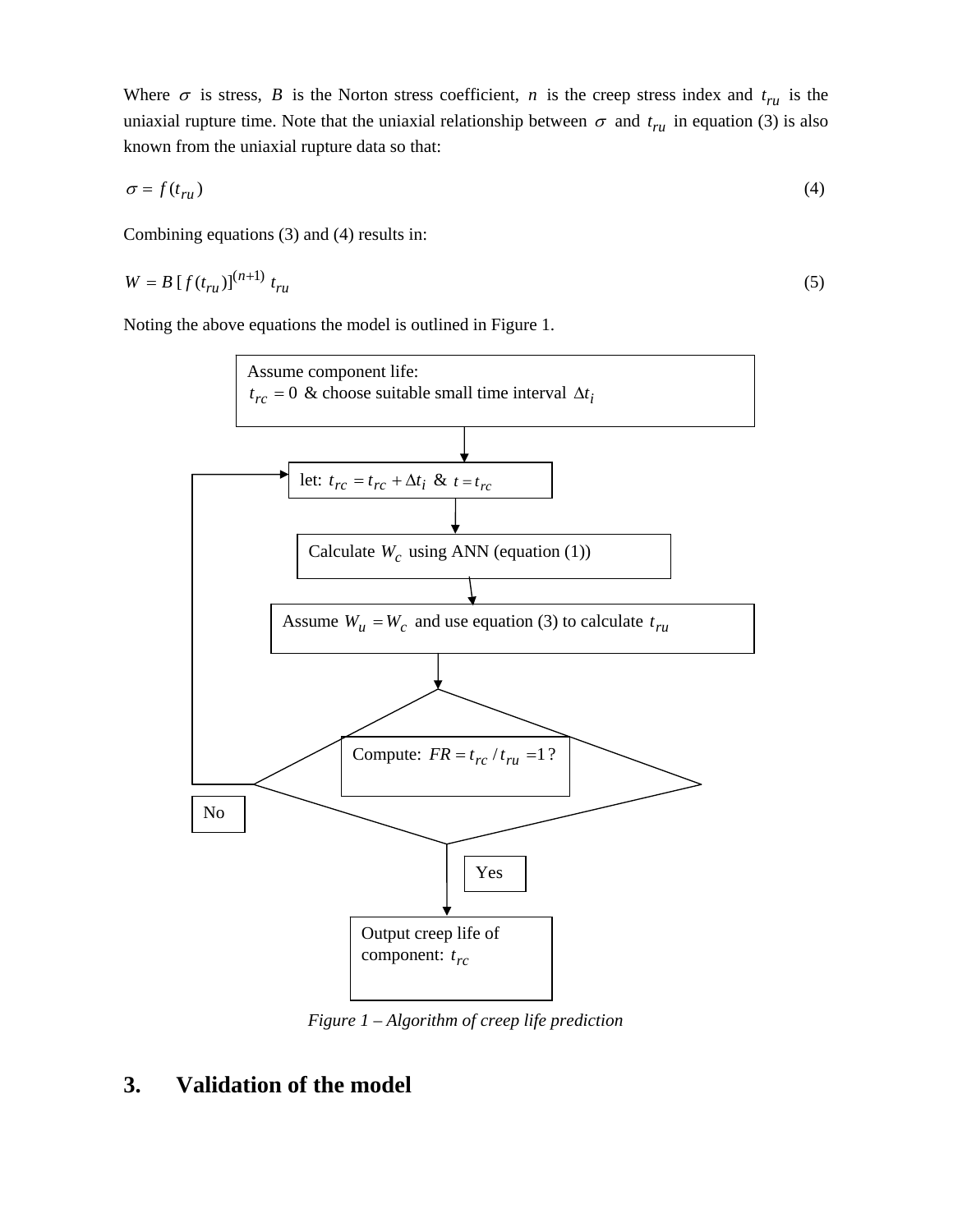Where  $\sigma$  is stress, *B* is the Norton stress coefficient, *n* is the creep stress index and  $t_{ru}$  is the uniaxial rupture time. Note that the uniaxial relationship between  $\sigma$  and  $t_{ru}$  in equation (3) is also known from the uniaxial rupture data so that:

$$
\sigma = f(t_{ru})\tag{4}
$$

Combining equations (3) and (4) results in:

$$
W = B \left[ f(t_{ru}) \right]^{(n+1)} t_{ru} \tag{5}
$$

Noting the above equations the model is outlined in Figure 1.



*Figure 1 – Algorithm of creep life prediction* 

# **3. Validation of the model**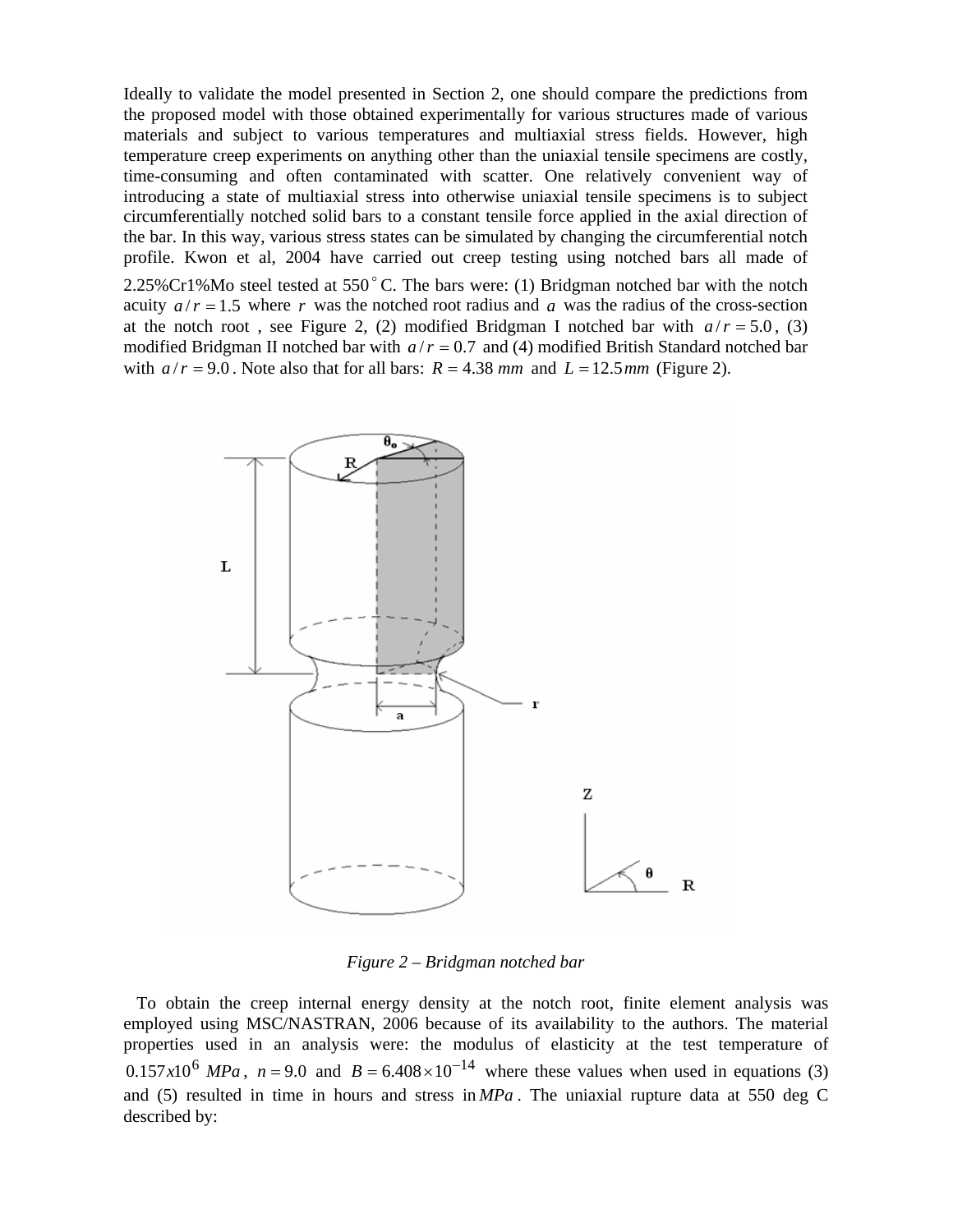Ideally to validate the model presented in Section 2, one should compare the predictions from the proposed model with those obtained experimentally for various structures made of various materials and subject to various temperatures and multiaxial stress fields. However, high temperature creep experiments on anything other than the uniaxial tensile specimens are costly, time-consuming and often contaminated with scatter. One relatively convenient way of introducing a state of multiaxial stress into otherwise uniaxial tensile specimens is to subject circumferentially notched solid bars to a constant tensile force applied in the axial direction of the bar. In this way, various stress states can be simulated by changing the circumferential notch profile. Kwon et al, 2004 have carried out creep testing using notched bars all made of 2.25%Cr1%Mo steel tested at  $550^{\circ}$ C. The bars were: (1) Bridgman notched bar with the notch acuity  $a/r = 1.5$  where r was the notched root radius and a was the radius of the cross-section at the notch root, see Figure 2, (2) modified Bridgman I notched bar with  $a/r = 5.0$ , (3) modified Bridgman II notched bar with  $a/r = 0.7$  and (4) modified British Standard notched bar with  $a/r = 9.0$ . Note also that for all bars:  $R = 4.38$  *mm* and  $L = 12.5$  *mm* (Figure 2).



*Figure 2 – Bridgman notched bar* 

To obtain the creep internal energy density at the notch root, finite element analysis was employed using MSC/NASTRAN, 2006 because of its availability to the authors. The material properties used in an analysis were: the modulus of elasticity at the test temperature of  $0.157x10^6$  *MPa*,  $n = 9.0$  and  $B = 6.408 \times 10^{-14}$  where these values when used in equations (3) and (5) resulted in time in hours and stress in *MPa* . The uniaxial rupture data at 550 deg C described by: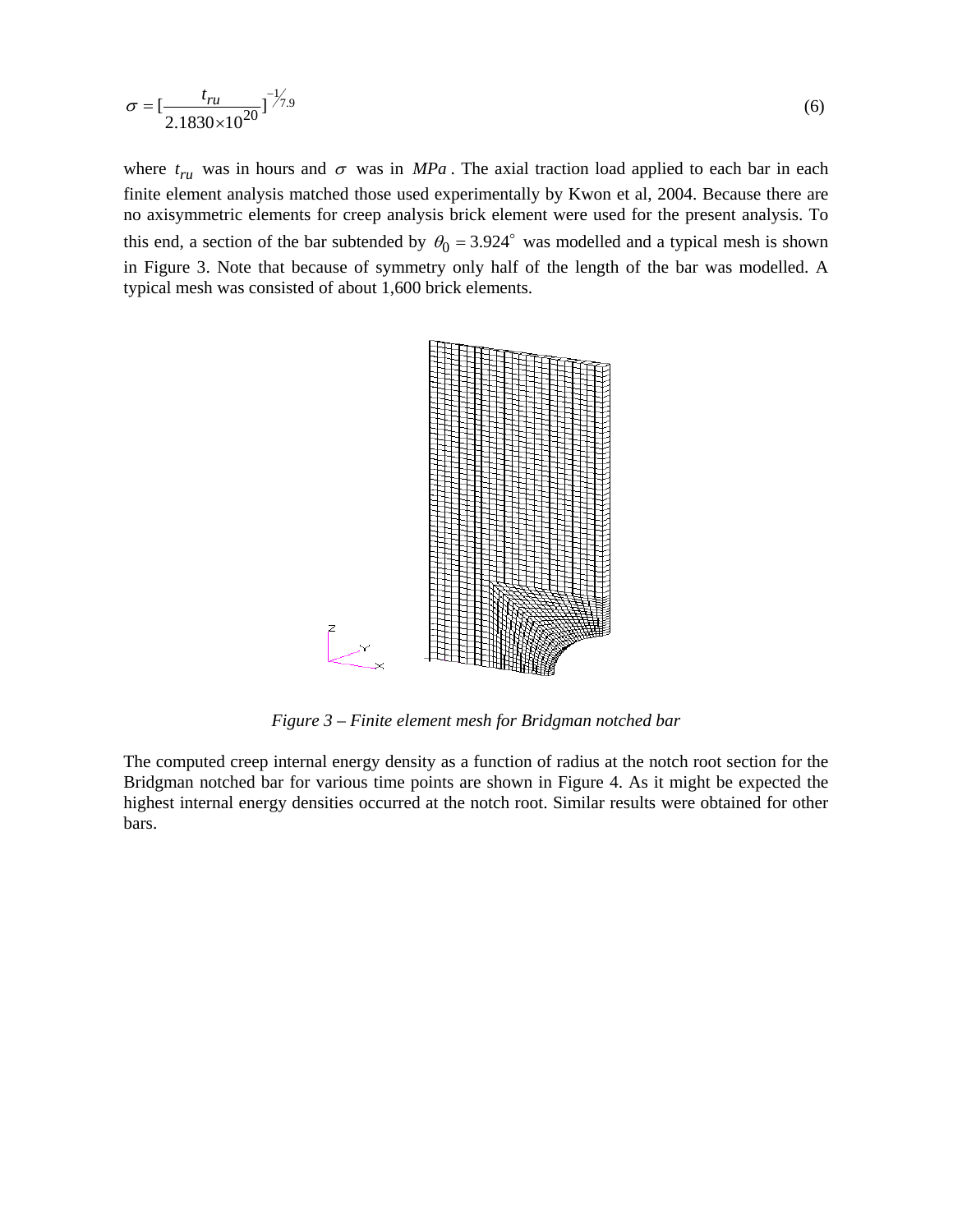$$
\sigma = \left[\frac{t_{ru}}{2.1830 \times 10^{20}}\right]^{1/7.9} \tag{6}
$$

where  $t_{ru}$  was in hours and  $\sigma$  was in *MPa*. The axial traction load applied to each bar in each finite element analysis matched those used experimentally by Kwon et al, 2004. Because there are no axisymmetric elements for creep analysis brick element were used for the present analysis. To this end, a section of the bar subtended by  $\theta_0 = 3.924^\circ$  was modelled and a typical mesh is shown in Figure 3. Note that because of symmetry only half of the length of the bar was modelled. A typical mesh was consisted of about 1,600 brick elements.



*Figure 3 – Finite element mesh for Bridgman notched bar* 

The computed creep internal energy density as a function of radius at the notch root section for the Bridgman notched bar for various time points are shown in Figure 4. As it might be expected the highest internal energy densities occurred at the notch root. Similar results were obtained for other bars.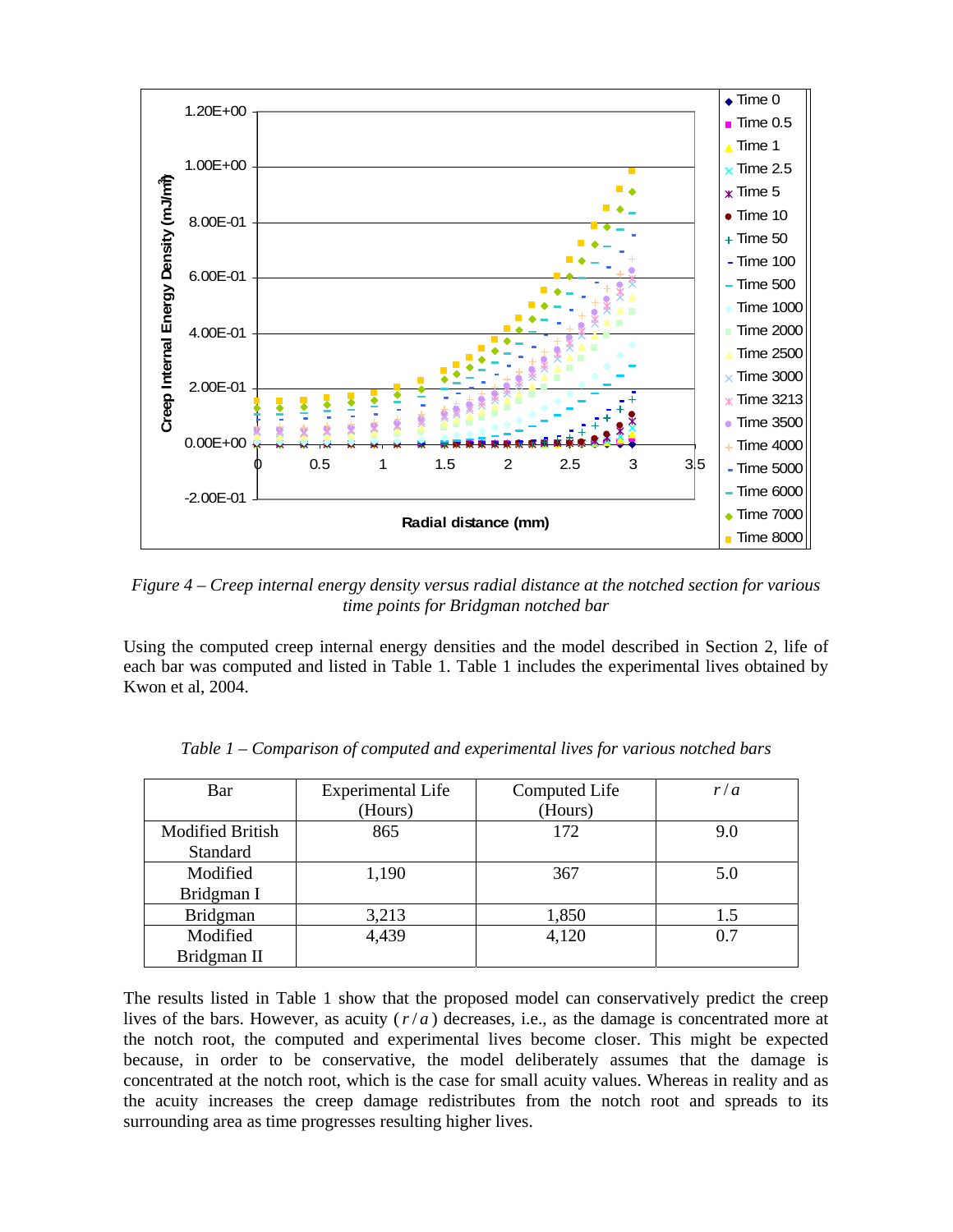

*Figure 4 – Creep internal energy density versus radial distance at the notched section for various time points for Bridgman notched bar* 

Using the computed creep internal energy densities and the model described in Section 2, life of each bar was computed and listed in Table 1. Table 1 includes the experimental lives obtained by Kwon et al, 2004.

| Bar                     | <b>Experimental Life</b> | Computed Life | r/a |
|-------------------------|--------------------------|---------------|-----|
|                         | (Hours)                  | (Hours)       |     |
| <b>Modified British</b> | 865                      | 172           | 9.0 |
| Standard                |                          |               |     |
| Modified                | 1,190                    | 367           | 5.0 |
| Bridgman I              |                          |               |     |
| <b>Bridgman</b>         | 3,213                    | 1,850         | 1.5 |
| Modified                | 4,439                    | 4,120         | 0.7 |
| Bridgman II             |                          |               |     |

*Table 1 – Comparison of computed and experimental lives for various notched bars* 

The results listed in Table 1 show that the proposed model can conservatively predict the creep lives of the bars. However, as acuity (*r*/ *a* ) decreases, i.e., as the damage is concentrated more at the notch root, the computed and experimental lives become closer. This might be expected because, in order to be conservative, the model deliberately assumes that the damage is concentrated at the notch root, which is the case for small acuity values. Whereas in reality and as the acuity increases the creep damage redistributes from the notch root and spreads to its surrounding area as time progresses resulting higher lives.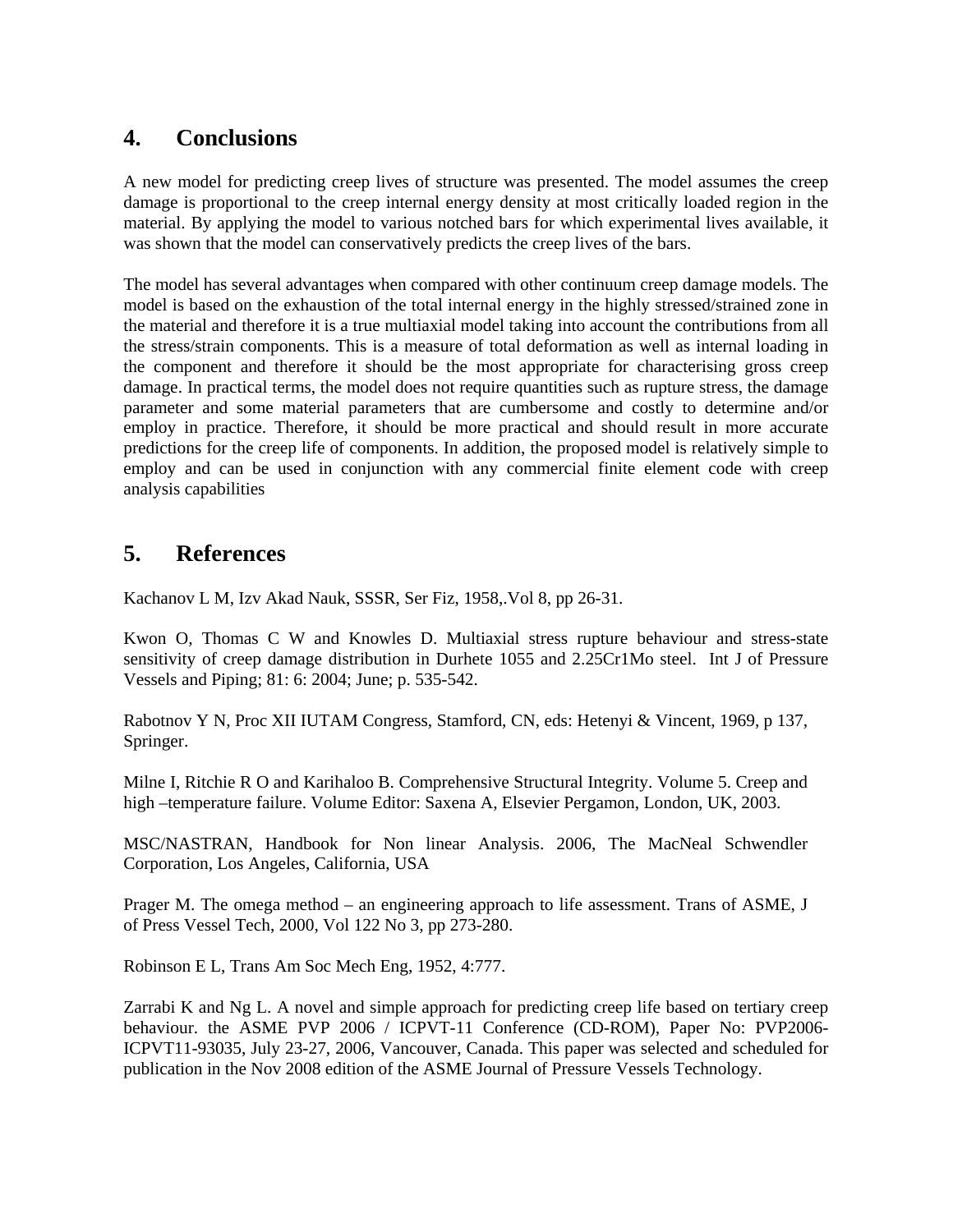### **4. Conclusions**

A new model for predicting creep lives of structure was presented. The model assumes the creep damage is proportional to the creep internal energy density at most critically loaded region in the material. By applying the model to various notched bars for which experimental lives available, it was shown that the model can conservatively predicts the creep lives of the bars.

The model has several advantages when compared with other continuum creep damage models. The model is based on the exhaustion of the total internal energy in the highly stressed/strained zone in the material and therefore it is a true multiaxial model taking into account the contributions from all the stress/strain components. This is a measure of total deformation as well as internal loading in the component and therefore it should be the most appropriate for characterising gross creep damage. In practical terms, the model does not require quantities such as rupture stress, the damage parameter and some material parameters that are cumbersome and costly to determine and/or employ in practice. Therefore, it should be more practical and should result in more accurate predictions for the creep life of components. In addition, the proposed model is relatively simple to employ and can be used in conjunction with any commercial finite element code with creep analysis capabilities

### **5. References**

Kachanov L M, Izv Akad Nauk, SSSR, Ser Fiz, 1958,.Vol 8, pp 26-31.

Kwon O, Thomas C W and Knowles D. Multiaxial stress rupture behaviour and stress-state sensitivity of creep damage distribution in Durhete 1055 and 2.25Cr1Mo steel. Int J of Pressure Vessels and Piping; 81: 6: 2004; June; p. 535-542.

Rabotnov Y N, Proc XII IUTAM Congress, Stamford, CN, eds: Hetenyi & Vincent, 1969, p 137, Springer.

Milne I, Ritchie R O and Karihaloo B. Comprehensive Structural Integrity. Volume 5. Creep and high –temperature failure. Volume Editor: Saxena A, Elsevier Pergamon, London, UK, 2003.

MSC/NASTRAN, Handbook for Non linear Analysis. 2006, The MacNeal Schwendler Corporation, Los Angeles, California, USA

Prager M. The omega method – an engineering approach to life assessment. Trans of ASME, J of Press Vessel Tech, 2000, Vol 122 No 3, pp 273-280.

Robinson E L, Trans Am Soc Mech Eng, 1952, 4:777.

Zarrabi K and Ng L. A novel and simple approach for predicting creep life based on tertiary creep behaviour. the ASME PVP 2006 / ICPVT-11 Conference (CD-ROM), Paper No: PVP2006- ICPVT11-93035, July 23-27, 2006, Vancouver, Canada. This paper was selected and scheduled for publication in the Nov 2008 edition of the ASME Journal of Pressure Vessels Technology.